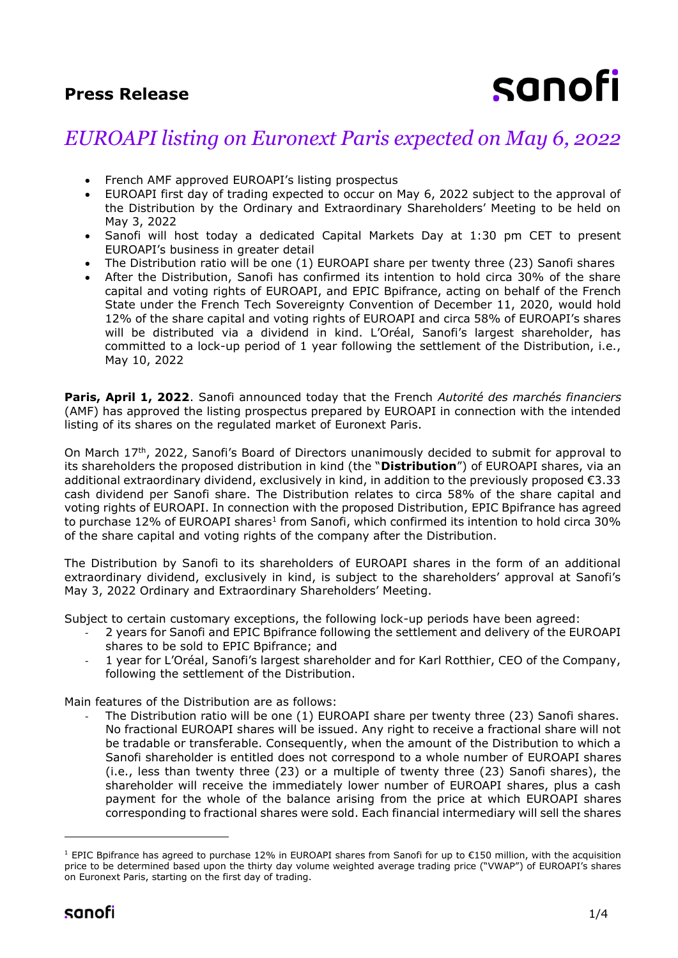# **Press Release**

# sanofi

# *EUROAPI listing on Euronext Paris expected on May 6, 2022*

- French AMF approved EUROAPI's listing prospectus
- EUROAPI first day of trading expected to occur on May 6, 2022 subject to the approval of the Distribution by the Ordinary and Extraordinary Shareholders' Meeting to be held on May 3, 2022
- Sanofi will host today a dedicated Capital Markets Day at 1:30 pm CET to present EUROAPI's business in greater detail
- The Distribution ratio will be one (1) EUROAPI share per twenty three (23) Sanofi shares
- After the Distribution, Sanofi has confirmed its intention to hold circa 30% of the share capital and voting rights of EUROAPI, and EPIC Bpifrance, acting on behalf of the French State under the French Tech Sovereignty Convention of December 11, 2020, would hold 12% of the share capital and voting rights of EUROAPI and circa 58% of EUROAPI's shares will be distributed via a dividend in kind. L'Oréal, Sanofi's largest shareholder, has committed to a lock-up period of 1 year following the settlement of the Distribution, i.e., May 10, 2022

**Paris, April 1, 2022**. Sanofi announced today that the French *Autorité des marchés financiers* (AMF) has approved the listing prospectus prepared by EUROAPI in connection with the intended listing of its shares on the regulated market of Euronext Paris.

On March 17<sup>th</sup>, 2022, Sanofi's Board of Directors unanimously decided to submit for approval to its shareholders the proposed distribution in kind (the "**Distribution**") of EUROAPI shares, via an additional extraordinary dividend, exclusively in kind, in addition to the previously proposed €3.33 cash dividend per Sanofi share. The Distribution relates to circa 58% of the share capital and voting rights of EUROAPI. In connection with the proposed Distribution, EPIC Bpifrance has agreed to purchase 12% of EUROAPI shares<sup>1</sup> from Sanofi, which confirmed its intention to hold circa 30% of the share capital and voting rights of the company after the Distribution.

The Distribution by Sanofi to its shareholders of EUROAPI shares in the form of an additional extraordinary dividend, exclusively in kind, is subject to the shareholders' approval at Sanofi's May 3, 2022 Ordinary and Extraordinary Shareholders' Meeting.

Subject to certain customary exceptions, the following lock-up periods have been agreed:

- 2 years for Sanofi and EPIC Bpifrance following the settlement and delivery of the EUROAPI shares to be sold to EPIC Bpifrance; and
- 1 year for L'Oréal, Sanofi's largest shareholder and for Karl Rotthier, CEO of the Company, following the settlement of the Distribution.

Main features of the Distribution are as follows:

The Distribution ratio will be one (1) EUROAPI share per twenty three (23) Sanofi shares. No fractional EUROAPI shares will be issued. Any right to receive a fractional share will not be tradable or transferable. Consequently, when the amount of the Distribution to which a Sanofi shareholder is entitled does not correspond to a whole number of EUROAPI shares (i.e., less than twenty three (23) or a multiple of twenty three (23) Sanofi shares), the shareholder will receive the immediately lower number of EUROAPI shares, plus a cash payment for the whole of the balance arising from the price at which EUROAPI shares corresponding to fractional shares were sold. Each financial intermediary will sell the shares

<sup>1</sup> EPIC Bpifrance has agreed to purchase 12% in EUROAPI shares from Sanofi for up to €150 million, with the acquisition price to be determined based upon the thirty day volume weighted average trading price ("VWAP") of EUROAPI's shares on Euronext Paris, starting on the first day of trading.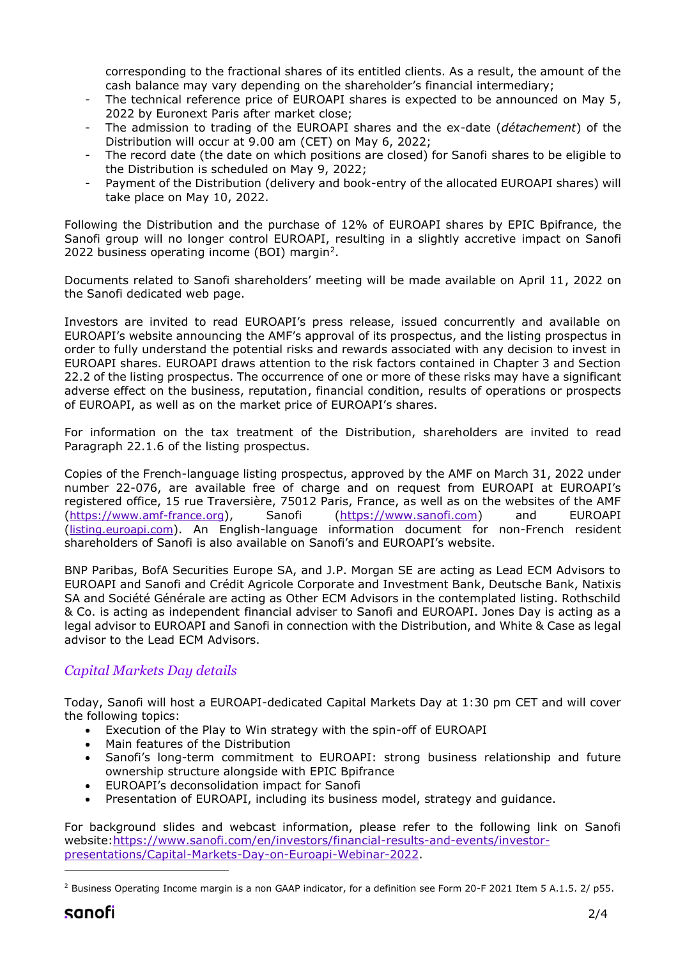corresponding to the fractional shares of its entitled clients. As a result, the amount of the cash balance may vary depending on the shareholder's financial intermediary;

- The technical reference price of EUROAPI shares is expected to be announced on May 5, 2022 by Euronext Paris after market close;
- The admission to trading of the EUROAPI shares and the ex-date (*détachement*) of the Distribution will occur at 9.00 am (CET) on May 6, 2022;
- The record date (the date on which positions are closed) for Sanofi shares to be eligible to the Distribution is scheduled on May 9, 2022;
- Payment of the Distribution (delivery and book-entry of the allocated EUROAPI shares) will take place on May 10, 2022.

Following the Distribution and the purchase of 12% of EUROAPI shares by EPIC Bpifrance, the Sanofi group will no longer control EUROAPI, resulting in a slightly accretive impact on Sanofi 2022 business operating income (BOI) margin<sup>2</sup>.

Documents related to Sanofi shareholders' meeting will be made available on April 11, 2022 on the Sanofi dedicated web page.

Investors are invited to read EUROAPI's press release, issued concurrently and available on EUROAPI's website announcing the AMF's approval of its prospectus, and the listing prospectus in order to fully understand the potential risks and rewards associated with any decision to invest in EUROAPI shares. EUROAPI draws attention to the risk factors contained in Chapter 3 and Section 22.2 of the listing prospectus. The occurrence of one or more of these risks may have a significant adverse effect on the business, reputation, financial condition, results of operations or prospects of EUROAPI, as well as on the market price of EUROAPI's shares.

For information on the tax treatment of the Distribution, shareholders are invited to read Paragraph 22.1.6 of the listing prospectus.

Copies of the French-language listing prospectus, approved by the AMF on March 31, 2022 under number 22-076, are available free of charge and on request from EUROAPI at EUROAPI's registered office, 15 rue Traversière, 75012 Paris, France, as well as on the websites of the AMF (https://www.amf-france.org), Sanofi [\(https://www.sanofi](https://www.sanofi/).com) and EUROAPI (listing.euroapi.com). An English-language information document for non-French resident shareholders of Sanofi is also available on Sanofi's and EUROAPI's website.

BNP Paribas, BofA Securities Europe SA, and J.P. Morgan SE are acting as Lead ECM Advisors to EUROAPI and Sanofi and Crédit Agricole Corporate and Investment Bank, Deutsche Bank, Natixis SA and Société Générale are acting as Other ECM Advisors in the contemplated listing. Rothschild & Co. is acting as independent financial adviser to Sanofi and EUROAPI. Jones Day is acting as a legal advisor to EUROAPI and Sanofi in connection with the Distribution, and White & Case as legal advisor to the Lead ECM Advisors.

## *Capital Markets Day details*

Today, Sanofi will host a EUROAPI-dedicated Capital Markets Day at 1:30 pm CET and will cover the following topics:

- Execution of the Play to Win strategy with the spin-off of EUROAPI
- Main features of the Distribution
- Sanofi's long-term commitment to EUROAPI: strong business relationship and future ownership structure alongside with EPIC Bpifrance
- EUROAPI's deconsolidation impact for Sanofi
- Presentation of EUROAPI, including its business model, strategy and guidance.

For background slides and webcast information, please refer to the following link on Sanofi website[:https://www.sanofi.com/en/investors/financial-results-and-events/investor](https://www.sanofi.com/en/investors/financial-results-and-events/investor-presentations/Capital-Markets-Day-on-Euroapi-Webinar-2022)[presentations/Capital-Markets-Day-on-Euroapi-Webinar-2022.](https://www.sanofi.com/en/investors/financial-results-and-events/investor-presentations/Capital-Markets-Day-on-Euroapi-Webinar-2022)

<sup>&</sup>lt;sup>2</sup> Business Operating Income margin is a non GAAP indicator, for a definition see Form 20-F 2021 Item 5 A.1.5. 2/ p55.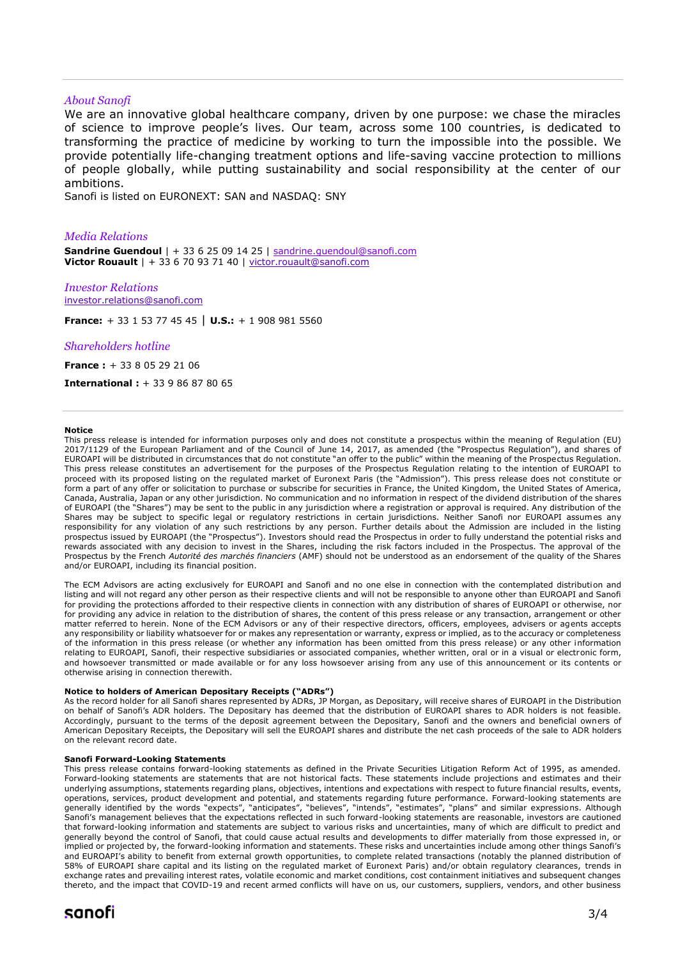#### *About Sanofi*

We are an innovative global healthcare company, driven by one purpose: we chase the miracles of science to improve people's lives. Our team, across some 100 countries, is dedicated to transforming the practice of medicine by working to turn the impossible into the possible. We provide potentially life-changing treatment options and life-saving vaccine protection to millions of people globally, while putting sustainability and social responsibility at the center of our ambitions.

Sanofi is listed on EURONEXT: SAN and NASDAQ: SNY

#### *Media Relations*

**Sandrine Guendoul** | + 33 6 25 09 14 25 | [sandrine.guendoul@sanofi.com](mailto:sandrine.guendoul@sanofi.com) **Victor Rouault** | + 33 6 70 93 71 40 | [victor.rouault@sanofi.com](mailto:victor.rouault@sanofi.com)

*Investor Relations* [investor.relations@sanofi.com](mailto:investor.relations@sanofi.com)

**France:** + 33 1 53 77 45 45 | **U.S.:** + 1 908 981 5560

#### *Shareholders hotline*

**France :** + 33 8 05 29 21 06

**International :** + 33 9 86 87 80 65

#### **Notice**

This press release is intended for information purposes only and does not constitute a prospectus within the meaning of Regulation (EU) 2017/1129 of the European Parliament and of the Council of June 14, 2017, as amended (the "Prospectus Regulation"), and shares of EUROAPI will be distributed in circumstances that do not constitute "an offer to the public" within the meaning of the Prospectus Regulation. This press release constitutes an advertisement for the purposes of the Prospectus Regulation relating to the intention of EUROAPI to proceed with its proposed listing on the regulated market of Euronext Paris (the "Admission"). This press release does not constitute or form a part of any offer or solicitation to purchase or subscribe for securities in France, the United Kingdom, the United States of America, Canada, Australia, Japan or any other jurisdiction. No communication and no information in respect of the dividend distribution of the shares of EUROAPI (the "Shares") may be sent to the public in any jurisdiction where a registration or approval is required. Any distribution of the Shares may be subject to specific legal or regulatory restrictions in certain jurisdictions. Neither Sanofi nor EUROAPI assumes any responsibility for any violation of any such restrictions by any person. Further details about the Admission are included in the listing prospectus issued by EUROAPI (the "Prospectus"). Investors should read the Prospectus in order to fully understand the potential risks and rewards associated with any decision to invest in the Shares, including the risk factors included in the Prospectus. The approval of the Prospectus by the French *Autorité des marchés financiers* (AMF) should not be understood as an endorsement of the quality of the Shares and/or EUROAPI, including its financial position.

The ECM Advisors are acting exclusively for EUROAPI and Sanofi and no one else in connection with the contemplated distribution and listing and will not regard any other person as their respective clients and will not be responsible to anyone other than EUROAPI and Sanofi for providing the protections afforded to their respective clients in connection with any distribution of shares of EUROAPI or otherwise, nor for providing any advice in relation to the distribution of shares, the content of this press release or any transaction, arrangement or other matter referred to herein. None of the ECM Advisors or any of their respective directors, officers, employees, advisers or agents accepts any responsibility or liability whatsoever for or makes any representation or warranty, express or implied, as to the accuracy or completeness of the information in this press release (or whether any information has been omitted from this press release) or any other information relating to EUROAPI, Sanofi, their respective subsidiaries or associated companies, whether written, oral or in a visual or electronic form, and howsoever transmitted or made available or for any loss howsoever arising from any use of this announcement or its contents or otherwise arising in connection therewith.

#### **Notice to holders of American Depositary Receipts ("ADRs")**

As the record holder for all Sanofi shares represented by ADRs, JP Morgan, as Depositary, will receive shares of EUROAPI in the Distribution on behalf of Sanofi's ADR holders. The Depositary has deemed that the distribution of EUROAPI shares to ADR holders is not feasible. Accordingly, pursuant to the terms of the deposit agreement between the Depositary, Sanofi and the owners and beneficial owners of American Depositary Receipts, the Depositary will sell the EUROAPI shares and distribute the net cash proceeds of the sale to ADR holders on the relevant record date.

#### **Sanofi Forward-Looking Statements**

This press release contains forward-looking statements as defined in the Private Securities Litigation Reform Act of 1995, as amended. Forward-looking statements are statements that are not historical facts. These statements include projections and estimates and their underlying assumptions, statements regarding plans, objectives, intentions and expectations with respect to future financial results, events, operations, services, product development and potential, and statements regarding future performance. Forward-looking statements are generally identified by the words "expects", "anticipates", "believes", "intends", "estimates", "plans" and similar expressions. Although Sanofi's management believes that the expectations reflected in such forward-looking statements are reasonable, investors are cautioned that forward-looking information and statements are subject to various risks and uncertainties, many of which are difficult to predict and generally beyond the control of Sanofi, that could cause actual results and developments to differ materially from those expressed in, or implied or projected by, the forward-looking information and statements. These risks and uncertainties include among other things Sanofi's and EUROAPI's ability to benefit from external growth opportunities, to complete related transactions (notably the planned distribution of 58% of EUROAPI share capital and its listing on the regulated market of Euronext Paris) and/or obtain regulatory clearances, trends in exchange rates and prevailing interest rates, volatile economic and market conditions, cost containment initiatives and subsequent changes thereto, and the impact that COVID-19 and recent armed conflicts will have on us, our customers, suppliers, vendors, and other business

## sanofi